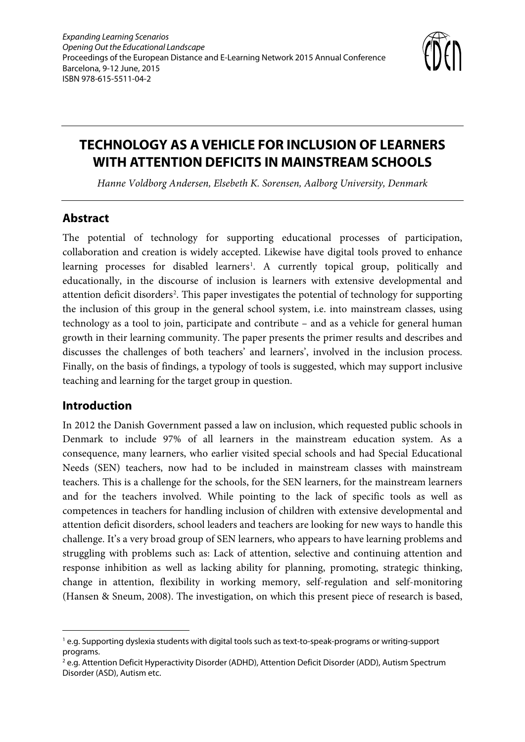

# **TECHNOLOGY AS A VEHICLE FOR INCLUSION OF LEARNERS WITH ATTENTION DEFICITS IN MAINSTREAM SCHOOLS**

*Hanne Voldborg Andersen, Elsebeth K. Sorensen, Aalborg University, Denmark*

#### **Abstract**

The potential of technology for supporting educational processes of participation, collaboration and creation is widely accepted. Likewise have digital tools proved to enhance learning processes for disabled learners<sup>[1](#page-0-0)</sup>. A currently topical group, politically and educationally, in the discourse of inclusion is learners with extensive developmental and attention deficit disorders<sup>[2](#page-0-1)</sup>. This paper investigates the potential of technology for supporting the inclusion of this group in the general school system, i.e. into mainstream classes, using technology as a tool to join, participate and contribute – and as a vehicle for general human growth in their learning community. The paper presents the primer results and describes and discusses the challenges of both teachers' and learners', involved in the inclusion process. Finally, on the basis of findings, a typology of tools is suggested, which may support inclusive teaching and learning for the target group in question.

#### **Introduction**

-

In 2012 the Danish Government passed a law on inclusion, which requested public schools in Denmark to include 97% of all learners in the mainstream education system. As a consequence, many learners, who earlier visited special schools and had Special Educational Needs (SEN) teachers, now had to be included in mainstream classes with mainstream teachers. This is a challenge for the schools, for the SEN learners, for the mainstream learners and for the teachers involved. While pointing to the lack of specific tools as well as competences in teachers for handling inclusion of children with extensive developmental and attention deficit disorders, school leaders and teachers are looking for new ways to handle this challenge. It's a very broad group of SEN learners, who appears to have learning problems and struggling with problems such as: Lack of attention, selective and continuing attention and response inhibition as well as lacking ability for planning, promoting, strategic thinking, change in attention, flexibility in working memory, self-regulation and self-monitoring (Hansen & Sneum, 2008). The investigation, on which this present piece of research is based,

<span id="page-0-0"></span><sup>1</sup> e.g. Supporting dyslexia students with digital tools such as text-to-speak-programs or writing-support programs.

<span id="page-0-1"></span><sup>&</sup>lt;sup>2</sup> e.g. Attention Deficit Hyperactivity Disorder (ADHD), Attention Deficit Disorder (ADD), Autism Spectrum Disorder (ASD), Autism etc.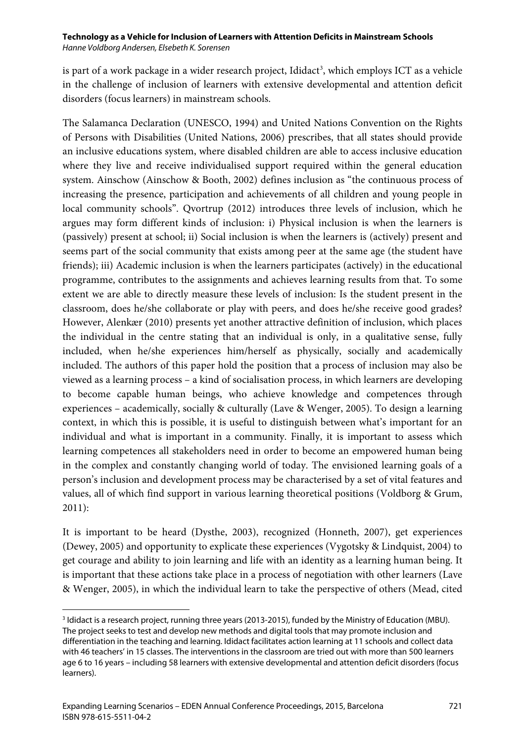is part of a work package in a wider research project, Ididact<sup>[3](#page-1-0)</sup>, which employs ICT as a vehicle in the challenge of inclusion of learners with extensive developmental and attention deficit disorders (focus learners) in mainstream schools.

The Salamanca Declaration (UNESCO, 1994) and United Nations Convention on the Rights of Persons with Disabilities (United Nations, 2006) prescribes, that all states should provide an inclusive educations system, where disabled children are able to access inclusive education where they live and receive individualised support required within the general education system. Ainschow (Ainschow & Booth, 2002) defines inclusion as "the continuous process of increasing the presence, participation and achievements of all children and young people in local community schools". Qvortrup (2012) introduces three levels of inclusion, which he argues may form different kinds of inclusion: i) Physical inclusion is when the learners is (passively) present at school; ii) Social inclusion is when the learners is (actively) present and seems part of the social community that exists among peer at the same age (the student have friends); iii) Academic inclusion is when the learners participates (actively) in the educational programme, contributes to the assignments and achieves learning results from that. To some extent we are able to directly measure these levels of inclusion: Is the student present in the classroom, does he/she collaborate or play with peers, and does he/she receive good grades? However, Alenkær (2010) presents yet another attractive definition of inclusion, which places the individual in the centre stating that an individual is only, in a qualitative sense, fully included, when he/she experiences him/herself as physically, socially and academically included. The authors of this paper hold the position that a process of inclusion may also be viewed as a learning process – a kind of socialisation process, in which learners are developing to become capable human beings, who achieve knowledge and competences through experiences – academically, socially & culturally (Lave & Wenger, 2005). To design a learning context, in which this is possible, it is useful to distinguish between what's important for an individual and what is important in a community. Finally, it is important to assess which learning competences all stakeholders need in order to become an empowered human being in the complex and constantly changing world of today. The envisioned learning goals of a person's inclusion and development process may be characterised by a set of vital features and values, all of which find support in various learning theoretical positions (Voldborg & Grum, 2011):

It is important to be heard (Dysthe, 2003), recognized (Honneth, 2007), get experiences (Dewey, 2005) and opportunity to explicate these experiences (Vygotsky & Lindquist, 2004) to get courage and ability to join learning and life with an identity as a learning human being. It is important that these actions take place in a process of negotiation with other learners (Lave & Wenger, 2005), in which the individual learn to take the perspective of others (Mead, cited

<span id="page-1-0"></span><sup>&</sup>lt;sup>3</sup> Ididact is a research project, running three years (2013-2015), funded by the Ministry of Education (MBU). The project seeks to test and develop new methods and digital tools that may promote inclusion and differentiation in the teaching and learning. Ididact facilitates action learning at 11 schools and collect data with 46 teachers' in 15 classes. The interventions in the classroom are tried out with more than 500 learners age 6 to 16 years – including 58 learners with extensive developmental and attention deficit disorders (focus learners).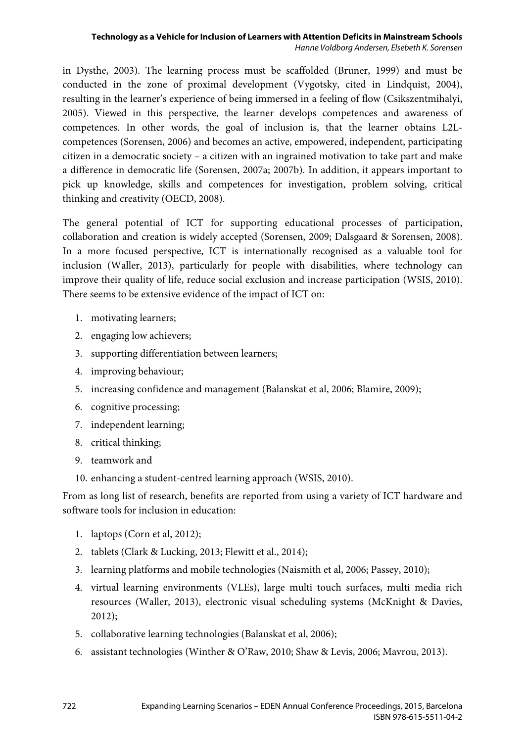in Dysthe, 2003). The learning process must be scaffolded (Bruner, 1999) and must be conducted in the zone of proximal development (Vygotsky, cited in Lindquist, 2004), resulting in the learner's experience of being immersed in a feeling of flow (Csikszentmihalyi, 2005). Viewed in this perspective, the learner develops competences and awareness of competences. In other words, the goal of inclusion is, that the learner obtains L2Lcompetences (Sorensen, 2006) and becomes an active, empowered, independent, participating citizen in a democratic society – a citizen with an ingrained motivation to take part and make a difference in democratic life (Sorensen, 2007a; 2007b). In addition, it appears important to pick up knowledge, skills and competences for investigation, problem solving, critical thinking and creativity (OECD, 2008).

The general potential of ICT for supporting educational processes of participation, collaboration and creation is widely accepted (Sorensen, 2009; Dalsgaard & Sorensen, 2008). In a more focused perspective, ICT is internationally recognised as a valuable tool for inclusion (Waller, 2013), particularly for people with disabilities, where technology can improve their quality of life, reduce social exclusion and increase participation (WSIS, 2010). There seems to be extensive evidence of the impact of ICT on:

- 1. motivating learners;
- 2. engaging low achievers;
- 3. supporting differentiation between learners;
- 4. improving behaviour;
- 5. increasing confidence and management (Balanskat et al, 2006; Blamire, 2009);
- 6. cognitive processing;
- 7. independent learning;
- 8. critical thinking;
- 9. teamwork and
- 10. enhancing a student-centred learning approach (WSIS, 2010).

From as long list of research, benefits are reported from using a variety of ICT hardware and software tools for inclusion in education:

- 1. laptops (Corn et al, 2012);
- 2. tablets (Clark & Lucking, 2013; Flewitt et al., 2014);
- 3. learning platforms and mobile technologies (Naismith et al, 2006; Passey, 2010);
- 4. virtual learning environments (VLEs), large multi touch surfaces, multi media rich resources (Waller, 2013), electronic visual scheduling systems (McKnight & Davies, 2012);
- 5. collaborative learning technologies (Balanskat et al, 2006);
- 6. assistant technologies (Winther & O'Raw, 2010; Shaw & Levis, 2006; Mavrou, 2013).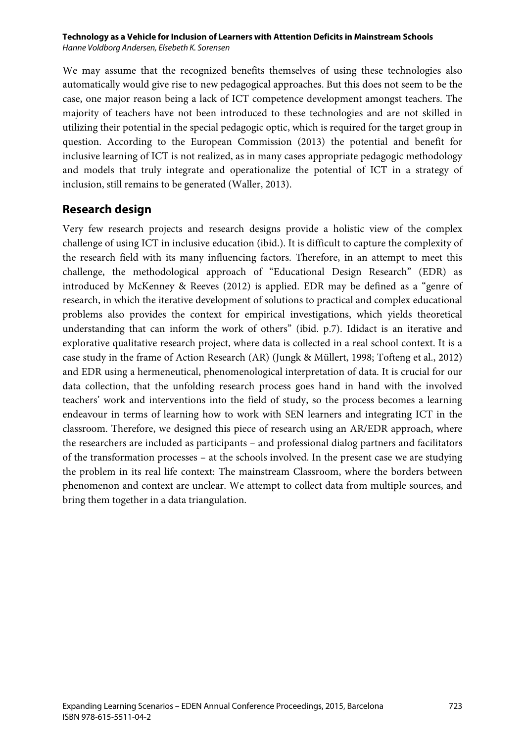We may assume that the recognized benefits themselves of using these technologies also automatically would give rise to new pedagogical approaches. But this does not seem to be the case, one major reason being a lack of ICT competence development amongst teachers. The majority of teachers have not been introduced to these technologies and are not skilled in utilizing their potential in the special pedagogic optic, which is required for the target group in question. According to the European Commission (2013) the potential and benefit for inclusive learning of ICT is not realized, as in many cases appropriate pedagogic methodology and models that truly integrate and operationalize the potential of ICT in a strategy of inclusion, still remains to be generated (Waller, 2013).

#### **Research design**

Very few research projects and research designs provide a holistic view of the complex challenge of using ICT in inclusive education (ibid.). It is difficult to capture the complexity of the research field with its many influencing factors. Therefore, in an attempt to meet this challenge, the methodological approach of "Educational Design Research" (EDR) as introduced by McKenney & Reeves (2012) is applied. EDR may be defined as a "genre of research, in which the iterative development of solutions to practical and complex educational problems also provides the context for empirical investigations, which yields theoretical understanding that can inform the work of others" (ibid. p.7). Ididact is an iterative and explorative qualitative research project, where data is collected in a real school context. It is a case study in the frame of Action Research (AR) (Jungk & Müllert, 1998; Tofteng et al., 2012) and EDR using a hermeneutical, phenomenological interpretation of data. It is crucial for our data collection, that the unfolding research process goes hand in hand with the involved teachers' work and interventions into the field of study, so the process becomes a learning endeavour in terms of learning how to work with SEN learners and integrating ICT in the classroom. Therefore, we designed this piece of research using an AR/EDR approach, where the researchers are included as participants – and professional dialog partners and facilitators of the transformation processes – at the schools involved. In the present case we are studying the problem in its real life context: The mainstream Classroom, where the borders between phenomenon and context are unclear. We attempt to collect data from multiple sources, and bring them together in a data triangulation.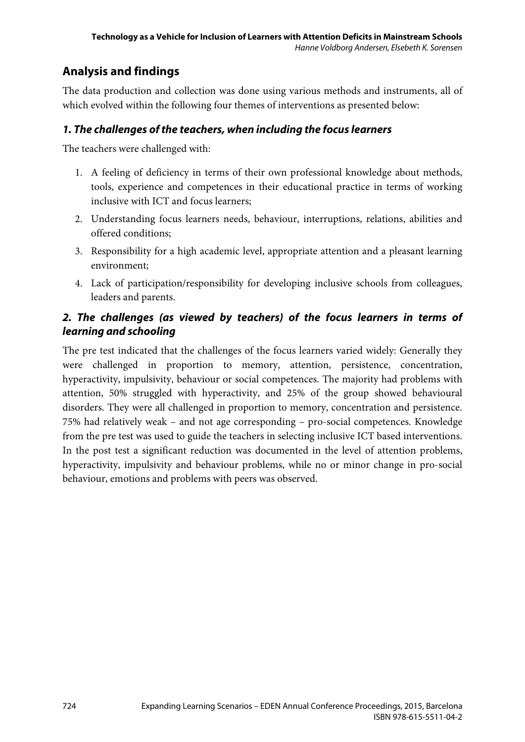## **Analysis and findings**

The data production and collection was done using various methods and instruments, all of which evolved within the following four themes of interventions as presented below:

#### *1. The challenges of the teachers, when including the focus learners*

The teachers were challenged with:

- 1. A feeling of deficiency in terms of their own professional knowledge about methods, tools, experience and competences in their educational practice in terms of working inclusive with ICT and focus learners;
- 2. Understanding focus learners needs, behaviour, interruptions, relations, abilities and offered conditions;
- 3. Responsibility for a high academic level, appropriate attention and a pleasant learning environment;
- 4. Lack of participation/responsibility for developing inclusive schools from colleagues, leaders and parents.

### *2. The challenges (as viewed by teachers) of the focus learners in terms of learning and schooling*

The pre test indicated that the challenges of the focus learners varied widely: Generally they were challenged in proportion to memory, attention, persistence, concentration, hyperactivity, impulsivity, behaviour or social competences. The majority had problems with attention, 50% struggled with hyperactivity, and 25% of the group showed behavioural disorders. They were all challenged in proportion to memory, concentration and persistence. 75% had relatively weak – and not age corresponding – pro-social competences. Knowledge from the pre test was used to guide the teachers in selecting inclusive ICT based interventions. In the post test a significant reduction was documented in the level of attention problems, hyperactivity, impulsivity and behaviour problems, while no or minor change in pro-social behaviour, emotions and problems with peers was observed.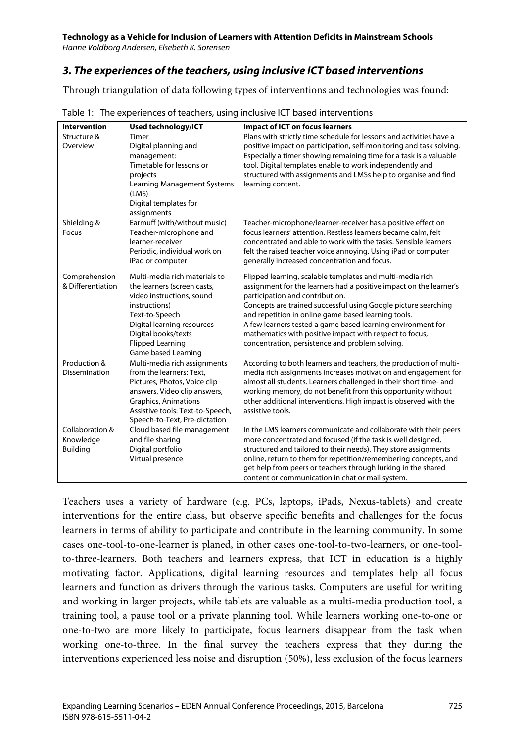#### **Technology as a Vehicle for Inclusion of Learners with Attention Deficits in Mainstream Schools**

*Hanne Voldborg Andersen, Elsebeth K. Sorensen*

### *3. The experiences of the teachers, using inclusive ICT based interventions*

Through triangulation of data following types of interventions and technologies was found:

| <b>Intervention</b>                             | Used technology/ICT                                                                                                                                                                                                                 | <b>Impact of ICT on focus learners</b>                                                                                                                                                                                                                                                                                                                                                                                                                                   |
|-------------------------------------------------|-------------------------------------------------------------------------------------------------------------------------------------------------------------------------------------------------------------------------------------|--------------------------------------------------------------------------------------------------------------------------------------------------------------------------------------------------------------------------------------------------------------------------------------------------------------------------------------------------------------------------------------------------------------------------------------------------------------------------|
| Structure &<br>Overview                         | Timer<br>Digital planning and<br>management:<br>Timetable for lessons or<br>projects<br><b>Learning Management Systems</b><br>(LMS)<br>Digital templates for<br>assignments                                                         | Plans with strictly time schedule for lessons and activities have a<br>positive impact on participation, self-monitoring and task solving.<br>Especially a timer showing remaining time for a task is a valuable<br>tool. Digital templates enable to work independently and<br>structured with assignments and LMSs help to organise and find<br>learning content.                                                                                                      |
| Shielding &<br>Focus                            | Earmuff (with/without music)<br>Teacher-microphone and<br>learner-receiver<br>Periodic, individual work on<br>iPad or computer                                                                                                      | Teacher-microphone/learner-receiver has a positive effect on<br>focus learners' attention. Restless learners became calm, felt<br>concentrated and able to work with the tasks. Sensible learners<br>felt the raised teacher voice annoying. Using iPad or computer<br>generally increased concentration and focus.                                                                                                                                                      |
| Comprehension<br>& Differentiation              | Multi-media rich materials to<br>the learners (screen casts,<br>video instructions, sound<br>instructions)<br>Text-to-Speech<br>Digital learning resources<br>Digital books/texts<br><b>Flipped Learning</b><br>Game based Learning | Flipped learning, scalable templates and multi-media rich<br>assignment for the learners had a positive impact on the learner's<br>participation and contribution.<br>Concepts are trained successful using Google picture searching<br>and repetition in online game based learning tools.<br>A few learners tested a game based learning environment for<br>mathematics with positive impact with respect to focus,<br>concentration, persistence and problem solving. |
| Production &<br>Dissemination                   | Multi-media rich assignments<br>from the learners: Text.<br>Pictures, Photos, Voice clip<br>answers, Video clip answers,<br><b>Graphics, Animations</b><br>Assistive tools: Text-to-Speech,<br>Speech-to-Text, Pre-dictation        | According to both learners and teachers, the production of multi-<br>media rich assignments increases motivation and engagement for<br>almost all students. Learners challenged in their short time- and<br>working memory, do not benefit from this opportunity without<br>other additional interventions. High impact is observed with the<br>assistive tools.                                                                                                         |
| Collaboration &<br>Knowledge<br><b>Building</b> | Cloud based file management<br>and file sharing<br>Digital portfolio<br>Virtual presence                                                                                                                                            | In the LMS learners communicate and collaborate with their peers<br>more concentrated and focused (if the task is well designed,<br>structured and tailored to their needs). They store assignments<br>online, return to them for repetition/remembering concepts, and<br>get help from peers or teachers through lurking in the shared<br>content or communication in chat or mail system.                                                                              |

Table 1: The experiences of teachers, using inclusive ICT based interventions

Teachers uses a variety of hardware (e.g. PCs, laptops, iPads, Nexus-tablets) and create interventions for the entire class, but observe specific benefits and challenges for the focus learners in terms of ability to participate and contribute in the learning community. In some cases one-tool-to-one-learner is planed, in other cases one-tool-to-two-learners, or one-toolto-three-learners. Both teachers and learners express, that ICT in education is a highly motivating factor. Applications, digital learning resources and templates help all focus learners and function as drivers through the various tasks. Computers are useful for writing and working in larger projects, while tablets are valuable as a multi-media production tool, a training tool, a pause tool or a private planning tool. While learners working one-to-one or one-to-two are more likely to participate, focus learners disappear from the task when working one-to-three. In the final survey the teachers express that they during the interventions experienced less noise and disruption (50%), less exclusion of the focus learners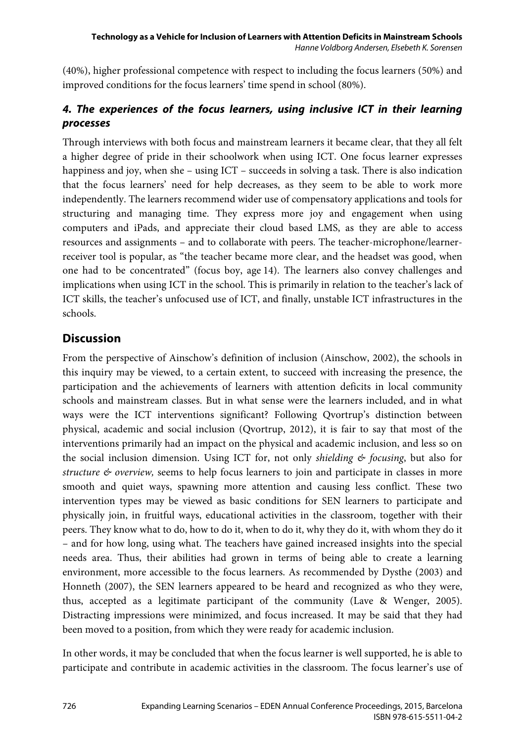(40%), higher professional competence with respect to including the focus learners (50%) and improved conditions for the focus learners' time spend in school (80%).

### *4. The experiences of the focus learners, using inclusive ICT in their learning processes*

Through interviews with both focus and mainstream learners it became clear, that they all felt a higher degree of pride in their schoolwork when using ICT. One focus learner expresses happiness and joy, when she – using ICT – succeeds in solving a task. There is also indication that the focus learners' need for help decreases, as they seem to be able to work more independently. The learners recommend wider use of compensatory applications and tools for structuring and managing time. They express more joy and engagement when using computers and iPads, and appreciate their cloud based LMS, as they are able to access resources and assignments – and to collaborate with peers. The teacher-microphone/learnerreceiver tool is popular, as "the teacher became more clear, and the headset was good, when one had to be concentrated" (focus boy, age 14). The learners also convey challenges and implications when using ICT in the school. This is primarily in relation to the teacher's lack of ICT skills, the teacher's unfocused use of ICT, and finally, unstable ICT infrastructures in the schools.

### **Discussion**

From the perspective of Ainschow's definition of inclusion (Ainschow, 2002), the schools in this inquiry may be viewed, to a certain extent, to succeed with increasing the presence, the participation and the achievements of learners with attention deficits in local community schools and mainstream classes. But in what sense were the learners included, and in what ways were the ICT interventions significant? Following Qvortrup's distinction between physical, academic and social inclusion (Qvortrup, 2012), it is fair to say that most of the interventions primarily had an impact on the physical and academic inclusion, and less so on the social inclusion dimension. Using ICT for, not only *shielding & focusing*, but also for *structure & overview,* seems to help focus learners to join and participate in classes in more smooth and quiet ways, spawning more attention and causing less conflict. These two intervention types may be viewed as basic conditions for SEN learners to participate and physically join, in fruitful ways, educational activities in the classroom, together with their peers. They know what to do, how to do it, when to do it, why they do it, with whom they do it – and for how long, using what. The teachers have gained increased insights into the special needs area. Thus, their abilities had grown in terms of being able to create a learning environment, more accessible to the focus learners. As recommended by Dysthe (2003) and Honneth (2007), the SEN learners appeared to be heard and recognized as who they were, thus, accepted as a legitimate participant of the community (Lave & Wenger, 2005). Distracting impressions were minimized, and focus increased. It may be said that they had been moved to a position, from which they were ready for academic inclusion.

In other words, it may be concluded that when the focus learner is well supported, he is able to participate and contribute in academic activities in the classroom. The focus learner's use of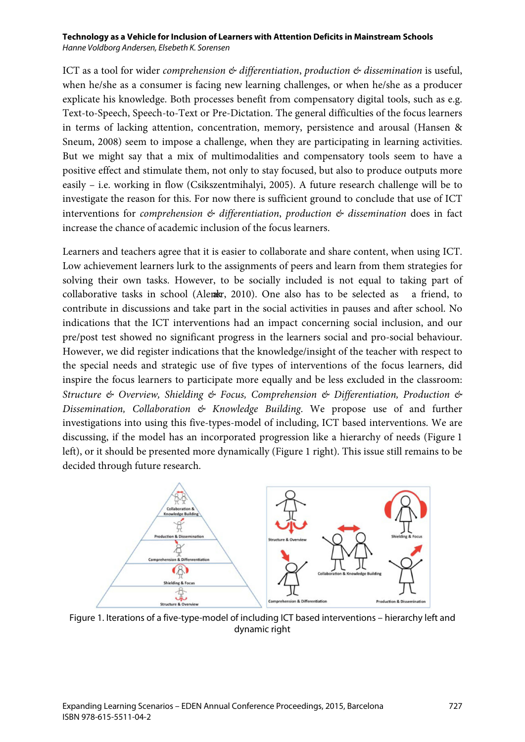ICT as a tool for wider *comprehension & differentiation*, *production & dissemination* is useful, when he/she as a consumer is facing new learning challenges, or when he/she as a producer explicate his knowledge. Both processes benefit from compensatory digital tools, such as e.g. Text-to-Speech, Speech-to-Text or Pre-Dictation. The general difficulties of the focus learners in terms of lacking attention, concentration, memory, persistence and arousal (Hansen & Sneum, 2008) seem to impose a challenge, when they are participating in learning activities. But we might say that a mix of multimodalities and compensatory tools seem to have a positive effect and stimulate them, not only to stay focused, but also to produce outputs more easily – i.e. working in flow (Csikszentmihalyi, 2005). A future research challenge will be to investigate the reason for this. For now there is sufficient ground to conclude that use of ICT interventions for *comprehension & differentiation*, *production & dissemination* does in fact increase the chance of academic inclusion of the focus learners.

Learners and teachers agree that it is easier to collaborate and share content, when using ICT. Low achievement learners lurk to the assignments of peers and learn from them strategies for solving their own tasks. However, to be socially included is not equal to taking part of collaborative tasks in school (Alenkær, 2010). One also has to be selected as a friend, to contribute in discussions and take part in the social activities in pauses and after school. No indications that the ICT interventions had an impact concerning social inclusion, and our pre/post test showed no significant progress in the learners social and pro-social behaviour. However, we did register indications that the knowledge/insight of the teacher with respect to the special needs and strategic use of five types of interventions of the focus learners, did inspire the focus learners to participate more equally and be less excluded in the classroom: *Structure & Overview, Shielding & Focus, Comprehension & Differentiation, Production & Dissemination, Collaboration & Knowledge Building*. We propose use of and further investigations into using this five-types-model of including, ICT based interventions. We are discussing, if the model has an incorporated progression like a hierarchy of needs (Figure 1 left), or it should be presented more dynamically (Figure 1 right). This issue still remains to be decided through future research.



Figure 1. Iterations of a five-type-model of including ICT based interventions – hierarchy left and dynamic right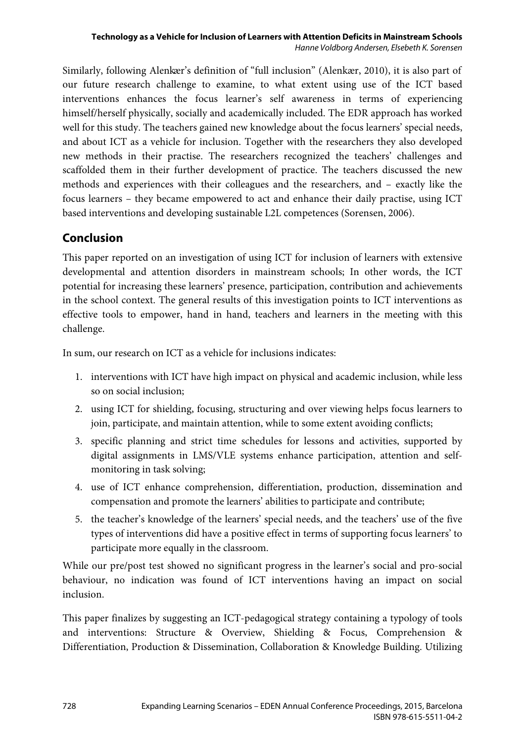Similarly, following Alenkær's definition of "full inclusion" (Alenkær, 2010), it is also part of our future research challenge to examine, to what extent using use of the ICT based interventions enhances the focus learner's self awareness in terms of experiencing himself/herself physically, socially and academically included. The EDR approach has worked well for this study. The teachers gained new knowledge about the focus learners' special needs, and about ICT as a vehicle for inclusion. Together with the researchers they also developed new methods in their practise. The researchers recognized the teachers' challenges and scaffolded them in their further development of practice. The teachers discussed the new methods and experiences with their colleagues and the researchers, and – exactly like the focus learners – they became empowered to act and enhance their daily practise, using ICT based interventions and developing sustainable L2L competences (Sorensen, 2006).

### **Conclusion**

This paper reported on an investigation of using ICT for inclusion of learners with extensive developmental and attention disorders in mainstream schools; In other words, the ICT potential for increasing these learners' presence, participation, contribution and achievements in the school context. The general results of this investigation points to ICT interventions as effective tools to empower, hand in hand, teachers and learners in the meeting with this challenge.

In sum, our research on ICT as a vehicle for inclusions indicates:

- 1. interventions with ICT have high impact on physical and academic inclusion, while less so on social inclusion;
- 2. using ICT for shielding, focusing, structuring and over viewing helps focus learners to join, participate, and maintain attention, while to some extent avoiding conflicts;
- 3. specific planning and strict time schedules for lessons and activities, supported by digital assignments in LMS/VLE systems enhance participation, attention and selfmonitoring in task solving;
- 4. use of ICT enhance comprehension, differentiation, production, dissemination and compensation and promote the learners' abilities to participate and contribute;
- 5. the teacher's knowledge of the learners' special needs, and the teachers' use of the five types of interventions did have a positive effect in terms of supporting focus learners' to participate more equally in the classroom.

While our pre/post test showed no significant progress in the learner's social and pro-social behaviour, no indication was found of ICT interventions having an impact on social inclusion.

This paper finalizes by suggesting an ICT-pedagogical strategy containing a typology of tools and interventions: Structure & Overview, Shielding & Focus, Comprehension & Differentiation, Production & Dissemination, Collaboration & Knowledge Building. Utilizing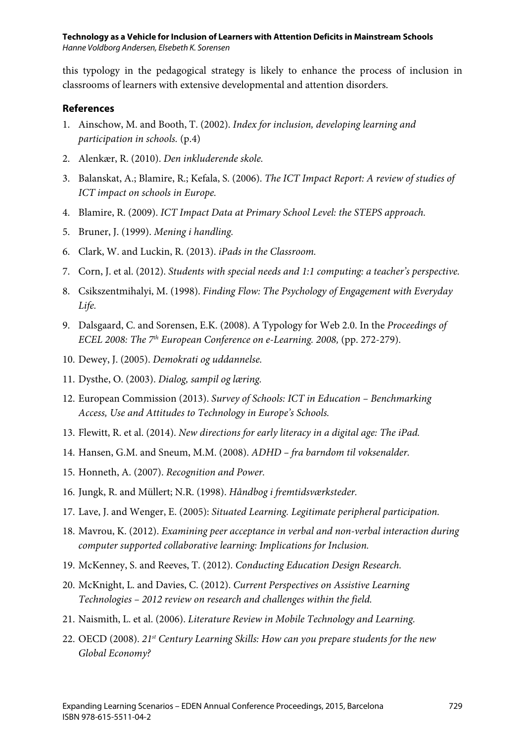this typology in the pedagogical strategy is likely to enhance the process of inclusion in classrooms of learners with extensive developmental and attention disorders.

#### **References**

- 1. Ainschow, M. and Booth, T. (2002). *Index for inclusion, developing learning and participation in schools.* (p.4)
- 2. Alenkær, R. (2010). *Den inkluderende skole.*
- 3. Balanskat, A.; Blamire, R.; Kefala, S. (2006). *The ICT Impact Report: A review of studies of ICT impact on schools in Europe.*
- 4. Blamire, R. (2009). *ICT Impact Data at Primary School Level: the STEPS approach.*
- 5. Bruner, J. (1999). *Mening i handling.*
- 6. Clark, W. and Luckin, R. (2013). *iPads in the Classroom.*
- 7. Corn, J. et al. (2012). *Students with special needs and 1:1 computing: a teacher's perspective.*
- 8. Csikszentmihalyi, M. (1998). *Finding Flow: The Psychology of Engagement with Everyday Life.*
- 9. Dalsgaard, C. and Sorensen, E.K. (2008). A Typology for Web 2.0. In the *Proceedings of ECEL 2008: The 7th European Conference on e-Learning. 2008,* (pp. 272-279).
- 10. Dewey, J. (2005). *Demokrati og uddannelse.*
- 11. Dysthe, O. (2003). *Dialog, sampil og læring.*
- 12. European Commission (2013). *Survey of Schools: ICT in Education – Benchmarking Access, Use and Attitudes to Technology in Europe's Schools.*
- 13. Flewitt, R. et al. (2014). *New directions for early literacy in a digital age: The iPad.*
- 14. Hansen, G.M. and Sneum, M.M. (2008). *ADHD – fra barndom til voksenalder.*
- 15. Honneth, A. (2007). *Recognition and Power.*
- 16. Jungk, R. and Müllert; N.R. (1998). *Håndbog i fremtidsværksteder.*
- 17. Lave, J. and Wenger, E. (2005): *Situated Learning. Legitimate peripheral participation.*
- 18. Mavrou, K. (2012). *Examining peer acceptance in verbal and non-verbal interaction during computer supported collaborative learning: Implications for Inclusion.*
- 19. McKenney, S. and Reeves, T. (2012). *Conducting Education Design Research.*
- 20. McKnight, L. and Davies, C. (2012). *Current Perspectives on Assistive Learning Technologies – 2012 review on research and challenges within the field.*
- 21. Naismith, L. et al. (2006). *Literature Review in Mobile Technology and Learning.*
- 22. OECD (2008). *21st Century Learning Skills: How can you prepare students for the new Global Economy?*